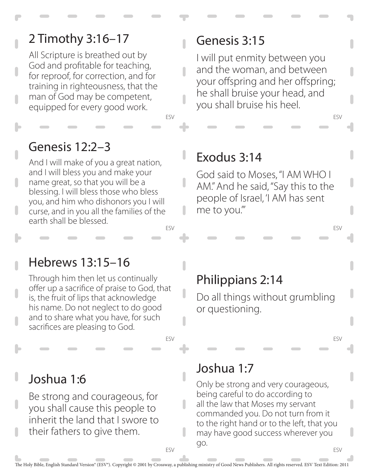## 2 Timothy 3:16–17

All Scripture is breathed out by God and profitable for teaching, for reproof, for correction, and for training in righteousness, that the man of God may be competent, equipped for every good work.

#### Genesis 3:15

I will put enmity between you and the woman, and between your offspring and her offspring; he shall bruise your head, and you shall bruise his heel.

#### Genesis 12:2–3

ESV And I will make of you a great nation, and I will bless you and make your name great, so that you will be a blessing. I will bless those who bless you, and him who dishonors you I will curse, and in you all the families of the earth shall be blessed.

#### Exodus 3:14

ESV

 $\overline{\phantom{a}}$ 

God said to Moses, "I AM WHO I AM." And he said, "Say this to the people of Israel, 'I AM has sent me to you.'"

#### Hebrews 13:15–16

Through him then let us continually offer up a sacrifice of praise to God, that is, the fruit of lips that acknowledge his name. Do not neglect to do good and to share what you have, for such sacrifices are pleasing to God.

#### Philippians 2:14

Do all things without grumbling or questioning.

ESV

ESV

ESV

ESV

#### Joshua 1:6

Be strong and courageous, for you shall cause this people to inherit the land that I swore to their fathers to give them.

#### Joshua 1:7

Only be strong and very courageous, being careful to do according to all the law that Moses my servant commanded you. Do not turn from it to the right hand or to the left, that you may have good success wherever you go.

ESV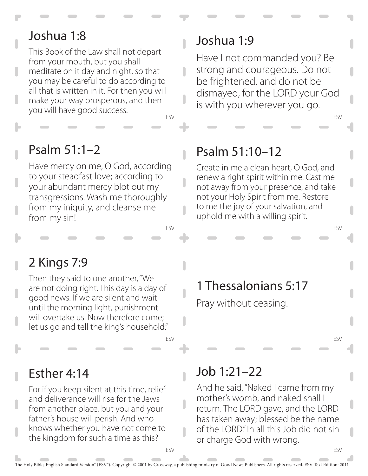#### Joshua 1:8

This Book of the Law shall not depart from your mouth, but you shall meditate on it day and night, so that you may be careful to do according to all that is written in it. For then you will make your way prosperous, and then you will have good success.

#### ESV

 $\overline{\phantom{a}}$ 

 $\overline{\phantom{a}}$ 

 $\overline{\phantom{a}}$ 

ESV

ESV

#### Psalm 51:1–2

Have mercy on me, O God, according to your steadfast love; according to your abundant mercy blot out my transgressions. Wash me thoroughly from my iniquity, and cleanse me from my sin!

#### Joshua 1:9

Have I not commanded you? Be strong and courageous. Do not be frightened, and do not be dismayed, for the LORD your God is with you wherever you go.

#### Psalm 51:10–12

Create in me a clean heart, O God, and renew a right spirit within me. Cast me not away from your presence, and take not your Holy Spirit from me. Restore to me the joy of your salvation, and uphold me with a willing spirit.

#### 2 Kings 7:9

Then they said to one another, "We are not doing right. This day is a day of good news. If we are silent and wait until the morning light, punishment will overtake us. Now therefore come; let us go and tell the king's household."

# 1 Thessalonians 5:17

Pray without ceasing.

ESV

ESV

ESV

ESV

#### Esther 4:14

For if you keep silent at this time, relief and deliverance will rise for the Jews from another place, but you and your father's house will perish. And who knows whether you have not come to the kingdom for such a time as this?

#### Job 1:21–22

And he said, "Naked I came from my mother's womb, and naked shall I return. The LORD gave, and the LORD has taken away; blessed be the name of the LORD." In all this Job did not sin or charge God with wrong.

 $\begin{array}{c} \hline \end{array}$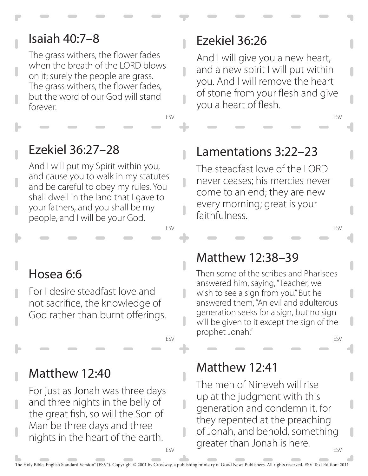#### Isaiah 40:7–8

The grass withers, the flower fades when the breath of the LORD blows on it; surely the people are grass. The grass withers, the flower fades, but the word of our God will stand forever.

#### Ezekiel 36:27–28

And I will put my Spirit within you, and cause you to walk in my statutes and be careful to obey my rules. You shall dwell in the land that I gave to your fathers, and you shall be my people, and I will be your God.

# Ezekiel 36:26

ESV

 $\overline{\phantom{a}}$ 

 $\overline{\phantom{a}}$ 

ESV

ESV

And I will give you a new heart, and a new spirit I will put within you. And I will remove the heart of stone from your flesh and give you a heart of flesh.

ESV

ESV

ESV

#### Lamentations 3:22–23

The steadfast love of the LORD never ceases; his mercies never come to an end; they are new every morning; great is your faithfulness.

# Hosea 6:6

For I desire steadfast love and not sacrifice, the knowledge of God rather than burnt offerings.

#### Matthew 12:40

For just as Jonah was three days and three nights in the belly of the great fish, so will the Son of Man be three days and three nights in the heart of the earth.

#### Matthew 12:38–39

Then some of the scribes and Pharisees answered him, saying, "Teacher, we wish to see a sign from you." But he answered them, "An evil and adulterous generation seeks for a sign, but no sign will be given to it except the sign of the prophet Jonah."

# Matthew 12:41

ESV The men of Nineveh will rise up at the judgment with this generation and condemn it, for they repented at the preaching of Jonah, and behold, something greater than Jonah is here.

 $\overline{\phantom{a}}$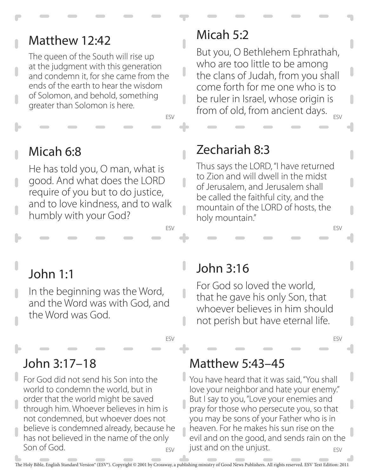#### Matthew 12:42

The queen of the South will rise up at the judgment with this generation and condemn it, for she came from the ends of the earth to hear the wisdom of Solomon, and behold, something greater than Solomon is here.

#### Micah 5:2

ESV But you, O Bethlehem Ephrathah, who are too little to be among the clans of Judah, from you shall come forth for me one who is to be ruler in Israel, whose origin is from of old, from ancient days.

# Micah 6:8

He has told you, O man, what is good. And what does the LORD require of you but to do justice, and to love kindness, and to walk humbly with your God?

# Zechariah 8:3

ESV

Ĥ

 $\overline{\phantom{a}}$ 

ı

ı

ESV

ESV

Thus says the LORD, "I have returned to Zion and will dwell in the midst of Jerusalem, and Jerusalem shall be called the faithful city, and the mountain of the LORD of hosts, the holy mountain."

# John 1:1

In the beginning was the Word, and the Word was with God, and the Word was God.

# John 3:17–18

ESV For God did not send his Son into the world to condemn the world, but in order that the world might be saved through him. Whoever believes in him is not condemned, but whoever does not believe is condemned already, because he has not believed in the name of the only Son of God.

# John 3:16

For God so loved the world, that he gave his only Son, that whoever believes in him should not perish but have eternal life.

#### ESV

ESV

#### Matthew 5:43–45

ESV You have heard that it was said, "You shall love your neighbor and hate your enemy." But I say to you, "Love your enemies and pray for those who persecute you, so that you may be sons of your Father who is in heaven. For he makes his sun rise on the evil and on the good, and sends rain on the just and on the unjust.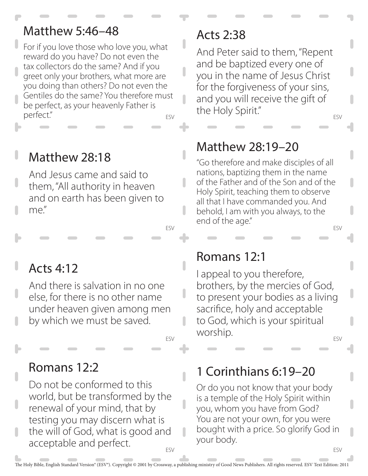#### Matthew 5:46–48

ESV For if you love those who love you, what reward do you have? Do not even the tax collectors do the same? And if you greet only your brothers, what more are you doing than others? Do not even the Gentiles do the same? You therefore must be perfect, as your heavenly Father is perfect."

# Matthew 28:18

And Jesus came and said to them, "All authority in heaven and on earth has been given to me."

# Acts 4:12

And there is salvation in no one else, for there is no other name under heaven given among men by which we must be saved.

#### Romans 12:2

ESV Do not be conformed to this world, but be transformed by the renewal of your mind, that by testing you may discern what is the will of God, what is good and acceptable and perfect.

#### Acts 2:38

ESV And Peter said to them, "Repent and be baptized every one of you in the name of Jesus Christ for the forgiveness of your sins, and you will receive the gift of the Holy Spirit."

# Matthew 28:19–20

ESV "Go therefore and make disciples of all nations, baptizing them in the name of the Father and of the Son and of the Holy Spirit, teaching them to observe all that I have commanded you. And behold, I am with you always, to the end of the age."

#### Romans 12:1

ESV I appeal to you therefore, brothers, by the mercies of God, to present your bodies as a living sacrifice, holy and acceptable to God, which is your spiritual worship.

# 1 Corinthians 6:19–20

ESV

Or do you not know that your body is a temple of the Holy Spirit within you, whom you have from God? You are not your own, for you were bought with a price. So glorify God in your body.

ESV

ı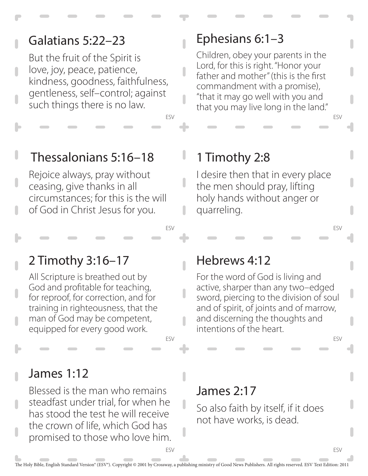#### Galatians 5:22–23

But the fruit of the Spirit is love, joy, peace, patience, kindness, goodness, faithfulness, gentleness, self–control; against such things there is no law.

#### Ephesians 6:1–3

Children, obey your parents in the Lord, for this is right. "Honor your father and mother" (this is the first commandment with a promise), "that it may go well with you and that you may live long in the land."

## Thessalonians 5:16–18

Rejoice always, pray without ceasing, give thanks in all circumstances; for this is the will of God in Christ Jesus for you.

#### 1 Timothy 2:8

ESV

U

ESV

ESV

I desire then that in every place the men should pray, lifting holy hands without anger or quarreling.

#### 2 Timothy 3:16–17

All Scripture is breathed out by God and profitable for teaching, for reproof, for correction, and for training in righteousness, that the man of God may be competent, equipped for every good work.

#### James 1:12

Blessed is the man who remains steadfast under trial, for when he has stood the test he will receive the crown of life, which God has promised to those who love him.

#### Hebrews 4:12

For the word of God is living and active, sharper than any two–edged sword, piercing to the division of soul and of spirit, of joints and of marrow, and discerning the thoughts and intentions of the heart.

ESV

ESV

ESV

#### James 2:17

So also faith by itself, if it does not have works, is dead.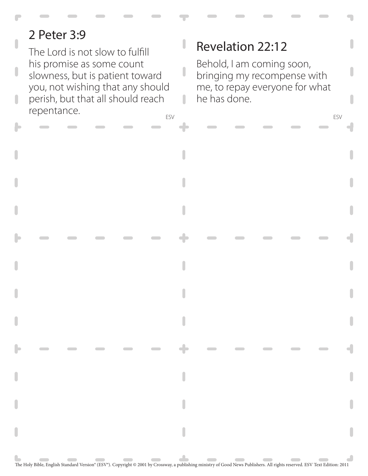# 2 Peter 3:9

ESV ESV The Lord is not slow to fulfill his promise as some count slowness, but is patient toward you, not wishing that any should perish, but that all should reach repentance.

# Revelation 22:12

J

ı

Behold, I am coming soon, bringing my recompense with me, to repay everyone for what he has done.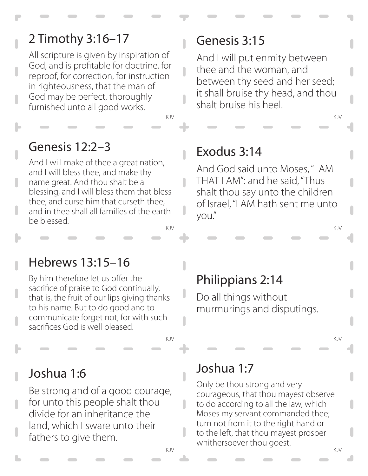# 2 Timothy 3:16–17

All scripture is given by inspiration of God, and is profitable for doctrine, for reproof, for correction, for instruction in righteousness, that the man of God may be perfect, thoroughly furnished unto all good works.

KJV KJV

Ω

 $\overline{\phantom{a}}$ 

 $\overline{\phantom{a}}$ 

n

#### Genesis 12:2–3

KJV KJV And I will make of thee a great nation, and I will bless thee, and make thy name great. And thou shalt be a blessing, and I will bless them that bless thee, and curse him that curseth thee, and in thee shall all families of the earth be blessed.

#### Genesis 3:15

And I will put enmity between thee and the woman, and between thy seed and her seed; it shall bruise thy head, and thou shalt bruise his heel.

#### Exodus 3:14

And God said unto Moses, "I AM THAT I AM": and he said, "Thus shalt thou say unto the children of Israel, "I AM hath sent me unto you."

#### Hebrews 13:15–16

By him therefore let us offer the sacrifice of praise to God continually, that is, the fruit of our lips giving thanks to his name. But to do good and to communicate forget not, for with such sacrifices God is well pleased.

# Philippians 2:14

Do all things without murmurings and disputings.

KJV KJV

#### Joshua 1:6

Be strong and of a good courage, for unto this people shalt thou divide for an inheritance the land, which I sware unto their fathers to give them.

#### Joshua 1:7

KJV KJV Only be thou strong and very courageous, that thou mayest observe to do according to all the law, which Moses my servant commanded thee; turn not from it to the right hand or to the left, that thou mayest prosper whithersoever thou goest.

 $\overline{\phantom{a}}$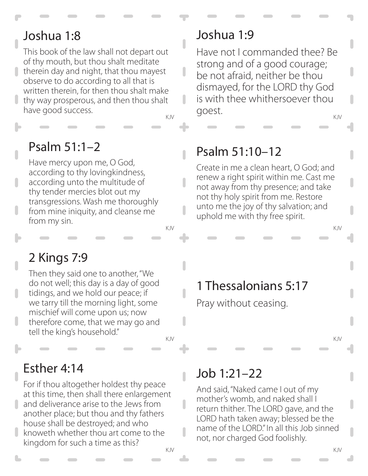#### Joshua 1:8

This book of the law shall not depart out of thy mouth, but thou shalt meditate therein day and night, that thou mayest observe to do according to all that is written therein, for then thou shalt make thy way prosperous, and then thou shalt have good success.

Ĥ

L

 $\overline{\phantom{a}}$ 

 $\overline{\phantom{a}}$ 

#### Psalm 51:1–2

Have mercy upon me, O God, according to thy lovingkindness, according unto the multitude of thy tender mercies blot out my transgressions. Wash me thoroughly from mine iniquity, and cleanse me from my sin.

# 2 Kings 7:9

Then they said one to another, "We do not well; this day is a day of good tidings, and we hold our peace; if we tarry till the morning light, some mischief will come upon us; now therefore come, that we may go and tell the king's household."

# Esther 4:14

For if thou altogether holdest thy peace at this time, then shall there enlargement and deliverance arise to the Jews from another place; but thou and thy fathers house shall be destroyed; and who knoweth whether thou art come to the kingdom for such a time as this?

#### Joshua 1:9

KJV KJV Have not I commanded thee? Be strong and of a good courage; be not afraid, neither be thou dismayed, for the LORD thy God is with thee whithersoever thou goest.

# Psalm 51:10–12

Create in me a clean heart, O God; and renew a right spirit within me. Cast me not away from thy presence; and take not thy holy spirit from me. Restore unto me the joy of thy salvation; and uphold me with thy free spirit.

# 1 Thessalonians 5:17

KJV KJV

Pray without ceasing.

#### KJV KJV

#### Job 1:21–22

And said, "Naked came I out of my mother's womb, and naked shall I return thither. The LORD gave, and the LORD hath taken away; blessed be the name of the LORD." In all this Job sinned not, nor charged God foolishly.

 $\overline{\phantom{a}}$ 

 $\overline{\phantom{a}}$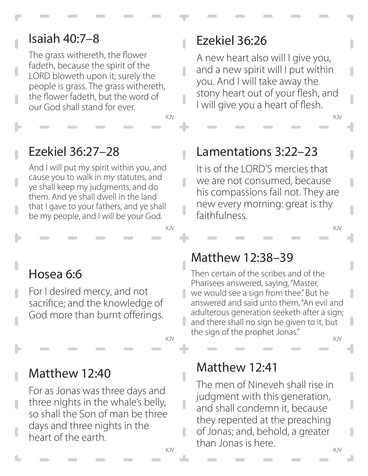#### Isaiah 40:7–8

The grass withereth, the flower fadeth, because the spirit of the LORD bloweth upon it; surely the people is grass. The grass withereth, the flower fadeth, but the word of our God shall stand for ever.

# Ezekiel 36:26

 $\overline{\phantom{a}}$ 

 $\overline{\phantom{a}}$ 

A new heart also will I give you, and a new spirit will I put within you. And I will take away the stony heart out of your flesh, and I will give you a heart of flesh.

# Ezekiel 36:27–28

And I will put my spirit within you, and cause you to walk in my statutes, and ye shall keep my judgments, and do them. And ye shall dwell in the land that I gave to your fathers, and ye shall be my people, and I will be your God.

#### Lamentations 3:22–23

KJV KJV

It is of the LORD'S mercies that we are not consumed, because his compassions fail not. They are new every morning: great is thy faithfulness.

# Hosea 6:6

For I desired mercy, and not sacrifice; and the knowledge of God more than burnt offerings.

# Matthew 12:40

For as Jonas was three days and three nights in the whale's belly, so shall the Son of man be three days and three nights in the heart of the earth.

#### Matthew 12:38–39

KJV KJV

KJV KJV Then certain of the scribes and of the Pharisees answered, saying, "Master, we would see a sign from thee." But he answered and said unto them, "An evil and adulterous generation seeketh after a sign; and there shall no sign be given to it, but the sign of the prophet Jonas."

#### Matthew 12:41

KJV KJV The men of Nineveh shall rise in judgment with this generation, and shall condemn it, because they repented at the preaching of Jonas; and, behold, a greater than Jonas is here.

П

 $\overline{\phantom{a}}$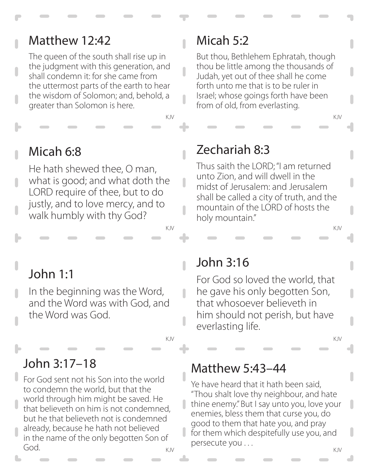#### Matthew 12:42

The queen of the south shall rise up in the judgment with this generation, and shall condemn it: for she came from the uttermost parts of the earth to hear the wisdom of Solomon; and, behold, a greater than Solomon is here.

KJV KJV

 $\overline{\phantom{a}}$ 

 $\overline{\phantom{a}}$ 

 $\overline{\phantom{a}}$ 

 $\overline{\phantom{a}}$ 

 $\overline{\phantom{a}}$ 

 $\overline{\phantom{a}}$ 

# Micah 6:8

He hath shewed thee, O man, what is good; and what doth the LORD require of thee, but to do justly, and to love mercy, and to walk humbly with thy God?

# Micah 5:2

But thou, Bethlehem Ephratah, though thou be little among the thousands of Judah, yet out of thee shall he come forth unto me that is to be ruler in Israel; whose goings forth have been from of old, from everlasting.

#### Zechariah 8:3

Thus saith the LORD; "I am returned unto Zion, and will dwell in the midst of Jerusalem: and Jerusalem shall be called a city of truth, and the mountain of the LORD of hosts the holy mountain."

KJV KJV

# John 1:1

In the beginning was the Word, and the Word was with God, and the Word was God.

# John 3:17–18

For God sent not his Son into the world to condemn the world, but that the world through him might be saved. He that believeth on him is not condemned, but he that believeth not is condemned already, because he hath not believed in the name of the only begotten Son of God.

#### John 3:16

For God so loved the world, that he gave his only begotten Son, that whosoever believeth in him should not perish, but have everlasting life.

#### Matthew 5:43–44

KJV KJV

Ye have heard that it hath been said, "Thou shalt love thy neighbour, and hate thine enemy." But I say unto you, love your enemies, bless them that curse you, do good to them that hate you, and pray for them which despitefully use you, and persecute you . . .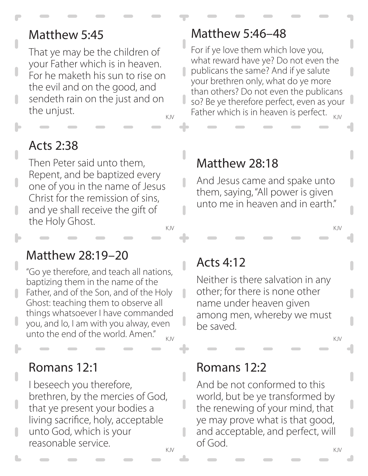#### Matthew 5:45

That ye may be the children of your Father which is in heaven. For he maketh his sun to rise on the evil and on the good, and sendeth rain on the just and on the unjust.

n

Ĥ

 $\overline{\phantom{a}}$ 

# Acts 2:38

KJV KJV Then Peter said unto them, Repent, and be baptized every one of you in the name of Jesus Christ for the remission of sins, and ye shall receive the gift of the Holy Ghost.

#### Matthew 28:19–20

KJV KJV "Go ye therefore, and teach all nations, baptizing them in the name of the Father, and of the Son, and of the Holy Ghost: teaching them to observe all things whatsoever I have commanded you, and lo, I am with you alway, even unto the end of the world. Amen."

#### Romans 12:1

I beseech you therefore, brethren, by the mercies of God, that ye present your bodies a living sacrifice, holy, acceptable unto God, which is your reasonable service.

#### Matthew 5:46–48

<sub>KJV</sub> Father which is in heaven is perfect.  $_{KJV}$ For if ye love them which love you, what reward have ye? Do not even the publicans the same? And if ye salute your brethren only, what do ye more than others? Do not even the publicans so? Be ye therefore perfect, even as your

#### Matthew 28:18

And Jesus came and spake unto them, saying, "All power is given unto me in heaven and in earth."

#### Acts 4:12

Neither is there salvation in any other; for there is none other name under heaven given among men, whereby we must be saved.

#### Romans 12:2

KJV KJV And be not conformed to this world, but be ye transformed by the renewing of your mind, that ye may prove what is that good, and acceptable, and perfect, will of God.

U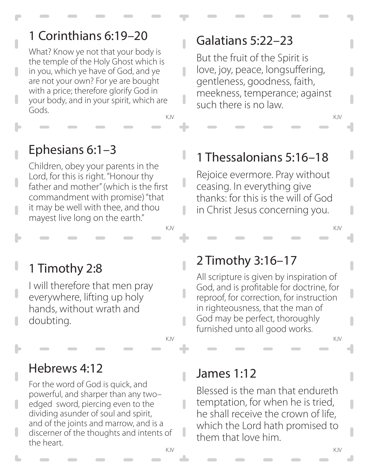# 1 Corinthians 6:19–20

What? Know ye not that your body is the temple of the Holy Ghost which is in you, which ye have of God, and ye are not your own? For ye are bought with a price; therefore glorify God in your body, and in your spirit, which are Gods.

KJV KJV

 $\overline{\phantom{a}}$ 

 $\overline{\phantom{a}}$ 

J

 $\overline{\phantom{a}}$ 

# Ephesians 6:1–3

Children, obey your parents in the Lord, for this is right. "Honour thy father and mother" (which is the first commandment with promise) "that it may be well with thee, and thou mayest live long on the earth."

# 1 Timothy 2:8

I will therefore that men pray everywhere, lifting up holy hands, without wrath and doubting.

#### Hebrews 4:12

For the word of God is quick, and powerful, and sharper than any two– edged sword, piercing even to the dividing asunder of soul and spirit, and of the joints and marrow, and is a discerner of the thoughts and intents of the heart.

# Galatians 5:22–23

But the fruit of the Spirit is love, joy, peace, longsuffering, gentleness, goodness, faith, meekness, temperance; against such there is no law.

# 1 Thessalonians 5:16–18

Rejoice evermore. Pray without ceasing. In everything give thanks: for this is the will of God in Christ Jesus concerning you.

#### 2 Timothy 3:16–17

KJV KJV

All scripture is given by inspiration of God, and is profitable for doctrine, for reproof, for correction, for instruction in righteousness, that the man of God may be perfect, thoroughly furnished unto all good works.

KJV KJV

#### James 1:12

Blessed is the man that endureth temptation, for when he is tried, he shall receive the crown of life, which the Lord hath promised to them that love him.

n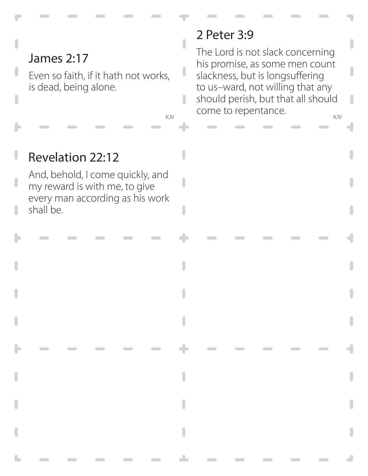# James 2:17

Even so faith, if it hath not works, is dead, being alone.

 $\overline{\phantom{a}}$ 

n

#### 2 Peter 3:9

KJV COME to repentance. The Lord is not slack concerning his promise, as some men count slackness, but is longsuffering to us–ward, not willing that any should perish, but that all should

# Revelation 22:12

And, behold, I come quickly, and my reward is with me, to give every man according as his work shall be.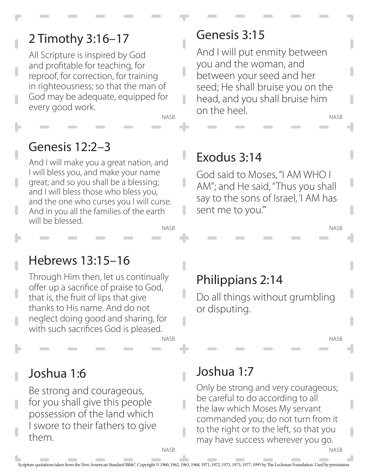# 2 Timothy 3:16–17

All Scripture is inspired by God and profitable for teaching, for reproof, for correction, for training in righteousness; so that the man of God may be adequate, equipped for every good work.

NASB

#### Genesis 12:2–3

NASB And I will make you a great nation, and I will bless you, and make your name great; and so you shall be a blessing; and I will bless those who bless you, and the one who curses you I will curse. And in you all the families of the earth will be blessed.

#### Genesis 3:15

NASB And I will put enmity between you and the woman, and between your seed and her seed; He shall bruise you on the head, and you shall bruise him on the heel.

#### Exodus 3:14

God said to Moses, "I AM WHO I AM"; and He said, "Thus you shall say to the sons of Israel, 'I AM has sent me to you.'"

#### Hebrews 13:15–16

Through Him then, let us continually offer up a sacrifice of praise to God, that is, the fruit of lips that give thanks to His name. And do not neglect doing good and sharing, for with such sacrifices God is pleased.

# Philippians 2:14

Do all things without grumbling or disputing.

NASB

NASB

NASB

#### Joshua 1:6

Be strong and courageous, for you shall give this people possession of the land which I swore to their fathers to give them.

#### Joshua 1:7

Only be strong and very courageous; be careful to do according to all the law which Moses My servant commanded you; do not turn from it to the right or to the left, so that you may have success wherever you go.

Scripture quotations taken from the New American Standard Bible®, Copyright © 1960, 1962, 1963, 1963, 1971, 1972, 1973, 1975, 1977, 1995 by The Lockman Foundation. Used by permission.

**NASB** 

NASB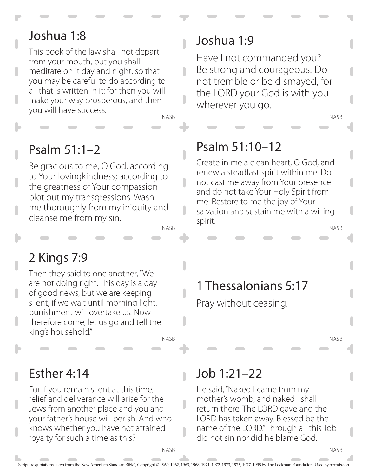#### Joshua 1:8

This book of the law shall not depart from your mouth, but you shall meditate on it day and night, so that you may be careful to do according to all that is written in it; for then you will make your way prosperous, and then you will have success.

NASB

 $\overline{\phantom{a}}$ 

 $\overline{\phantom{a}}$ 

ı

#### Psalm 51:1–2

Be gracious to me, O God, according to Your lovingkindness; according to the greatness of Your compassion blot out my transgressions. Wash me thoroughly from my iniquity and cleanse me from my sin.

NASB

# 2 Kings 7:9

Then they said to one another, "We are not doing right. This day is a day of good news, but we are keeping silent; if we wait until morning light, punishment will overtake us. Now therefore come, let us go and tell the king's household."

NASB

#### Esther 4:14

For if you remain silent at this time, relief and deliverance will arise for the Jews from another place and you and your father's house will perish. And who knows whether you have not attained royalty for such a time as this?

**NASB** 

#### Joshua 1:9

Have I not commanded you? Be strong and courageous! Do not tremble or be dismayed, for the LORD your God is with you wherever you go.

# Psalm 51:10–12

NASB Create in me a clean heart, O God, and renew a steadfast spirit within me. Do not cast me away from Your presence and do not take Your Holy Spirit from me. Restore to me the joy of Your salvation and sustain me with a willing spirit.

# 1 Thessalonians 5:17

Pray without ceasing.

NASB

NASB

NASB

#### Job 1:21–22

He said, "Naked I came from my mother's womb, and naked I shall return there. The LORD gave and the LORD has taken away. Blessed be the name of the LORD." Through all this Job did not sin nor did he blame God.

Scripture quotations taken from the New American Standard Bible®, Copyright © 1960, 1962, 1963, 1968, 1971, 1972, 1973, 1975, 1977, 1995 by The Lockman Foundation. Used by permission.

I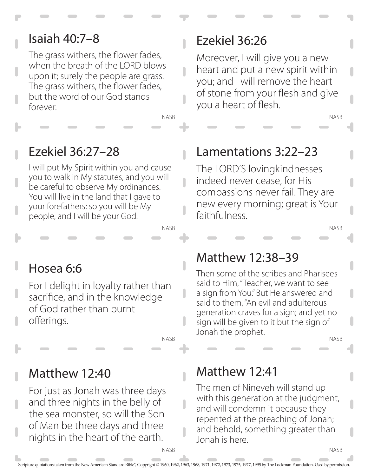#### Isaiah 40:7–8

The grass withers, the flower fades, when the breath of the LORD blows upon it; surely the people are grass. The grass withers, the flower fades, but the word of our God stands forever.

#### Ezekiel 36:26

Moreover, I will give you a new heart and put a new spirit within you; and I will remove the heart of stone from your flesh and give you a heart of flesh.

# Ezekiel 36:27–28

I will put My Spirit within you and cause you to walk in My statutes, and you will be careful to observe My ordinances. You will live in the land that I gave to your forefathers; so you will be My people, and I will be your God.

# Hosea 6:6

For I delight in loyalty rather than sacrifice, and in the knowledge of God rather than burnt offerings.

#### NASB

NASB

 $\overline{\phantom{a}}$ 

 $\overline{\phantom{a}}$ 

NASB

Matthew 12:40

For just as Jonah was three days and three nights in the belly of the sea monster, so will the Son of Man be three days and three nights in the heart of the earth.

**NASB** 

# Lamentations 3:22–23

The LORD'S lovingkindnesses indeed never cease, for His compassions never fail. They are new every morning; great is Your faithfulness.

NASB

NASB

#### Matthew 12:38–39

Then some of the scribes and Pharisees said to Him, "Teacher, we want to see a sign from You." But He answered and said to them, "An evil and adulterous generation craves for a sign; and yet no sign will be given to it but the sign of Jonah the prophet.

NASB

NASB

#### Matthew 12:41

The men of Nineveh will stand up with this generation at the judgment, and will condemn it because they repented at the preaching of Jonah; and behold, something greater than Jonah is here.

ı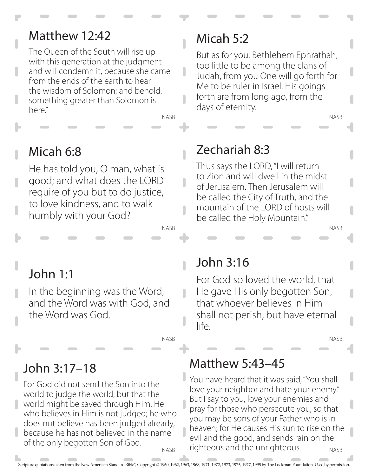#### Matthew 12:42

The Queen of the South will rise up with this generation at the judgment and will condemn it, because she came from the ends of the earth to hear the wisdom of Solomon; and behold, something greater than Solomon is here."

NASB

ı

 $\overline{\phantom{a}}$ 

 $\overline{\phantom{a}}$ 

 $\overline{\phantom{a}}$ 

 $\overline{\phantom{a}}$ 

NASB

# Micah 6:8

He has told you, O man, what is good; and what does the LORD require of you but to do justice, to love kindness, and to walk humbly with your God?

# Micah 5:2

But as for you, Bethlehem Ephrathah, too little to be among the clans of Judah, from you One will go forth for Me to be ruler in Israel. His goings forth are from long ago, from the days of eternity.

# Zechariah 8:3

Thus says the LORD, "I will return to Zion and will dwell in the midst of Jerusalem. Then Jerusalem will be called the City of Truth, and the mountain of the LORD of hosts will be called the Holy Mountain."

# John 1:1

In the beginning was the Word, and the Word was with God, and the Word was God.

#### NASB

# John 3:17–18

**NASR** For God did not send the Son into the world to judge the world, but that the world might be saved through Him. He who believes in Him is not judged; he who does not believe has been judged already, because he has not believed in the name of the only begotten Son of God.

John 3:16

For God so loved the world, that He gave His only begotten Son, that whoever believes in Him shall not perish, but have eternal life.

NASB

NASB

NASB

#### Matthew 5:43–45

NASB You have heard that it was said, "You shall love your neighbor and hate your enemy." But I say to you, love your enemies and pray for those who persecute you, so that you may be sons of your Father who is in heaven; for He causes His sun to rise on the evil and the good, and sends rain on the righteous and the unrighteous.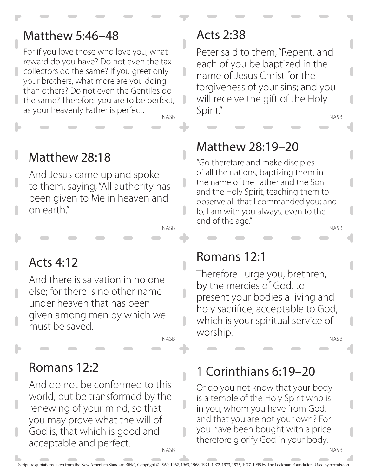#### Matthew 5:46–48

For if you love those who love you, what reward do you have? Do not even the tax collectors do the same? If you greet only your brothers, what more are you doing than others? Do not even the Gentiles do the same? Therefore you are to be perfect, as your heavenly Father is perfect.

NASB

П

ı

n

# Matthew 28:18

And Jesus came up and spoke to them, saying, "All authority has been given to Me in heaven and on earth."

NASB

# Acts 4:12

And there is salvation in no one else; for there is no other name under heaven that has been given among men by which we must be saved.

NASB

# Romans 12:2

**NASB** And do not be conformed to this world, but be transformed by the renewing of your mind, so that you may prove what the will of God is, that which is good and acceptable and perfect.

#### Acts 2:38

NASB Peter said to them, "Repent, and each of you be baptized in the name of Jesus Christ for the forgiveness of your sins; and you will receive the gift of the Holy Spirit."

# Matthew 28:19–20

"Go therefore and make disciples of all the nations, baptizing them in the name of the Father and the Son and the Holy Spirit, teaching them to observe all that I commanded you; and lo, I am with you always, even to the end of the age."

NASB

#### Romans 12:1

Therefore I urge you, brethren, by the mercies of God, to present your bodies a living and holy sacrifice, acceptable to God, which is your spiritual service of worship.

NASB

NASB

#### 1 Corinthians 6:19–20

Or do you not know that your body is a temple of the Holy Spirit who is in you, whom you have from God, and that you are not your own? For you have been bought with a price; therefore glorify God in your body.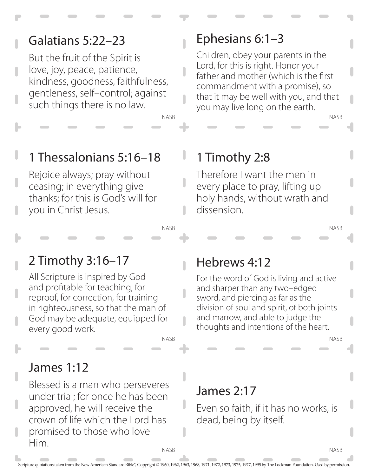# Galatians 5:22–23

But the fruit of the Spirit is love, joy, peace, patience, kindness, goodness, faithfulness, gentleness, self–control; against such things there is no law.

## Ephesians 6:1–3

Children, obey your parents in the Lord, for this is right. Honor your father and mother (which is the first commandment with a promise), so that it may be well with you, and that you may live long on the earth.

# 1 Thessalonians 5:16–18

Rejoice always; pray without ceasing; in everything give thanks; for this is God's will for you in Christ Jesus.

# 1 Timothy 2:8

Therefore I want the men in every place to pray, lifting up holy hands, without wrath and dissension.

#### NASB

NASB

# 2 Timothy 3:16–17

All Scripture is inspired by God and profitable for teaching, for reproof, for correction, for training in righteousness, so that the man of God may be adequate, equipped for every good work.

NASB

#### James 1:12

Blessed is a man who perseveres under trial; for once he has been approved, he will receive the crown of life which the Lord has promised to those who love Him.

#### Hebrews 4:12

For the word of God is living and active and sharper than any two–edged sword, and piercing as far as the division of soul and spirit, of both joints and marrow, and able to judge the thoughts and intentions of the heart.

NASB

NASB

NASB

#### James 2:17

Even so faith, if it has no works, is dead, being by itself.

**NASB**